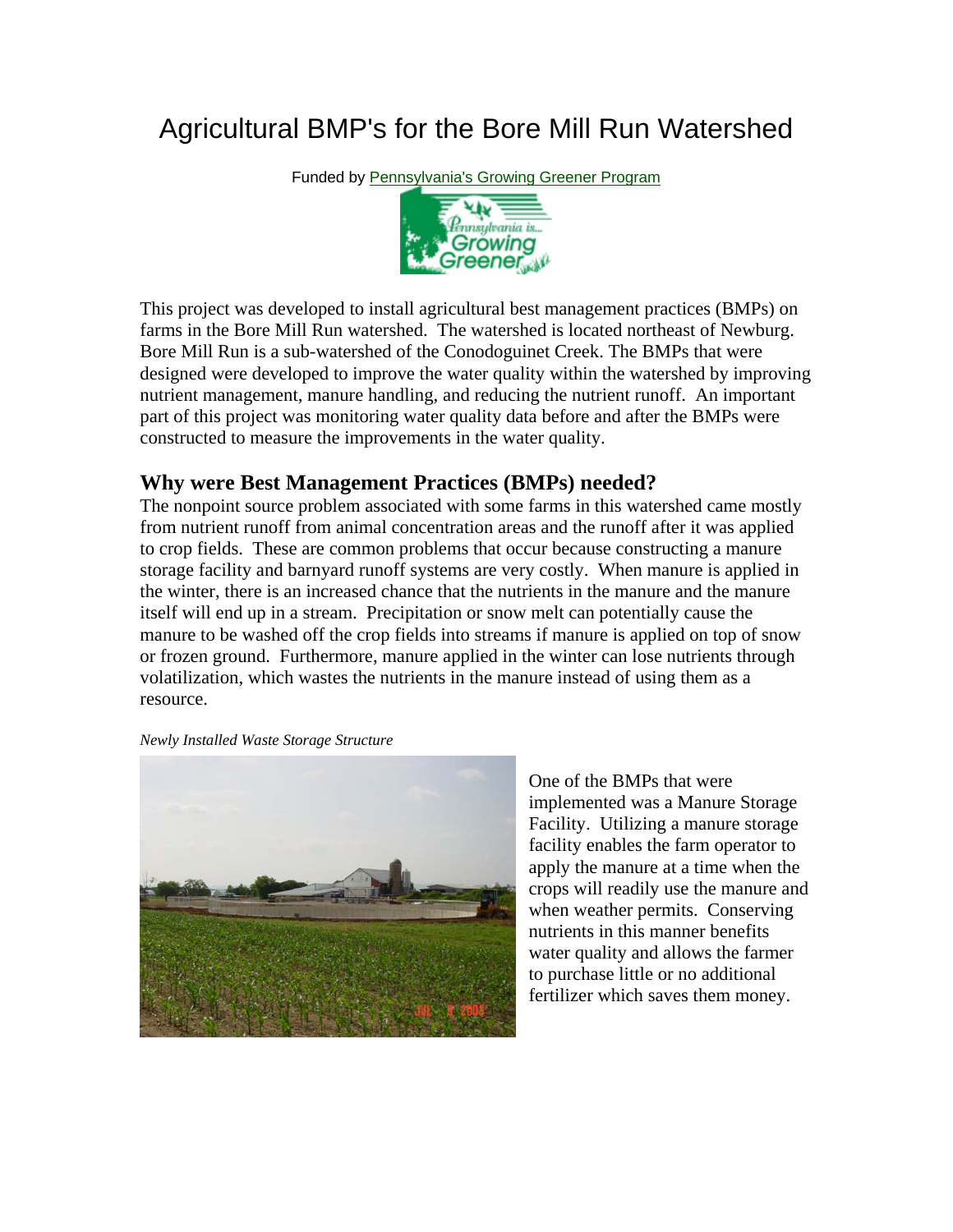## Agricultural BMP's for the Bore Mill Run Watershed

Funded by [Pennsylvania's Growing Greener Program](http://www.dep.state.pa.us/growgreen/defaultdep.htm)



This project was developed to install agricultural best management practices (BMPs) on farms in the Bore Mill Run watershed. The watershed is located northeast of Newburg. Bore Mill Run is a sub-watershed of the Conodoguinet Creek. The BMPs that were designed were developed to improve the water quality within the watershed by improving nutrient management, manure handling, and reducing the nutrient runoff. An important part of this project was monitoring water quality data before and after the BMPs were constructed to measure the improvements in the water quality.

## **Why were Best Management Practices (BMPs) needed?**

The nonpoint source problem associated with some farms in this watershed came mostly from nutrient runoff from animal concentration areas and the runoff after it was applied to crop fields. These are common problems that occur because constructing a manure storage facility and barnyard runoff systems are very costly. When manure is applied in the winter, there is an increased chance that the nutrients in the manure and the manure itself will end up in a stream. Precipitation or snow melt can potentially cause the manure to be washed off the crop fields into streams if manure is applied on top of snow or frozen ground. Furthermore, manure applied in the winter can lose nutrients through volatilization, which wastes the nutrients in the manure instead of using them as a resource.

*Newly Installed Waste Storage Structure* 



One of the BMPs that were implemented was a Manure Storage Facility. Utilizing a manure storage facility enables the farm operator to apply the manure at a time when the crops will readily use the manure and when weather permits. Conserving nutrients in this manner benefits water quality and allows the farmer to purchase little or no additional fertilizer which saves them money.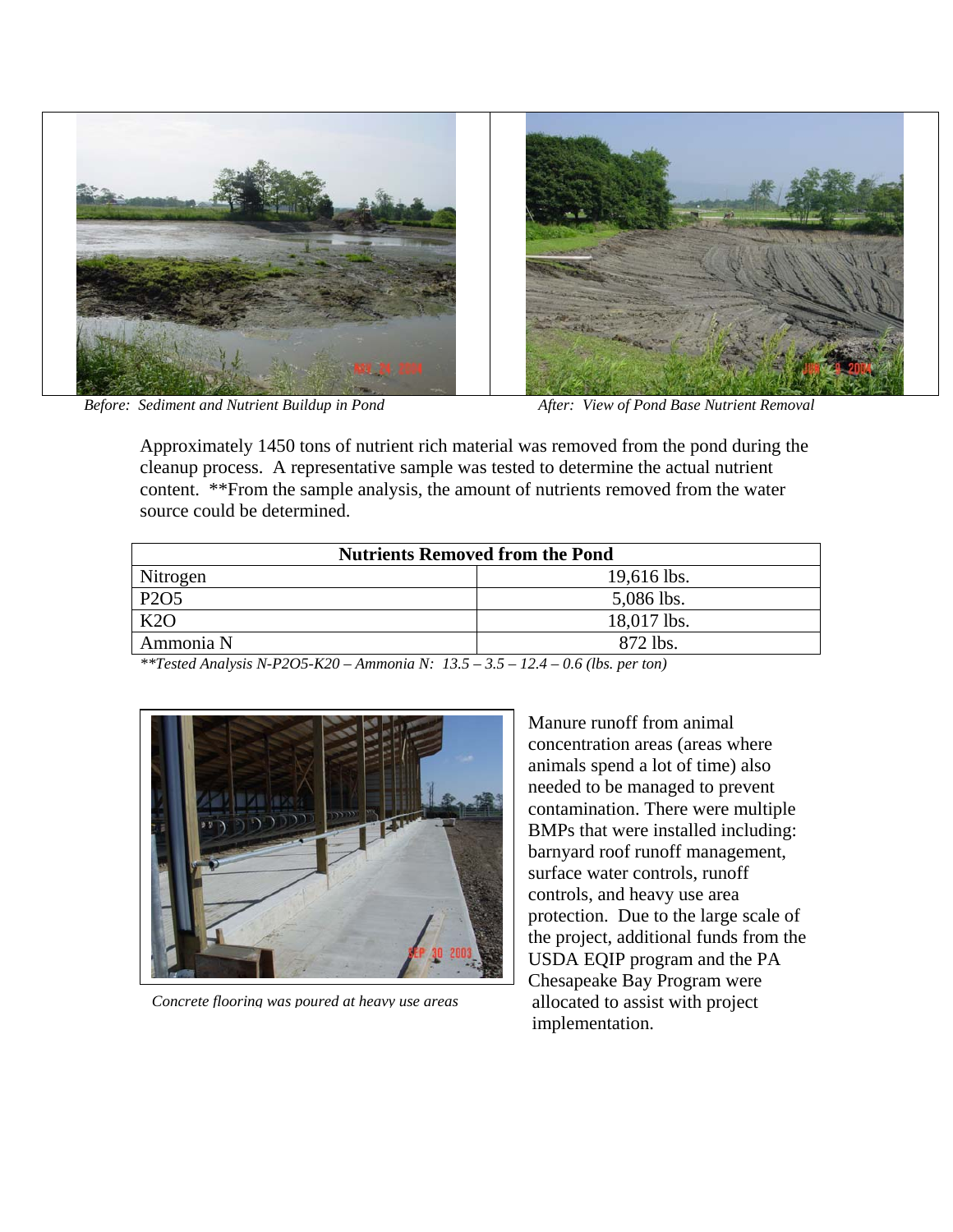

*Before: Sediment and Nutrient Buildup in Pond After: View of Pond Base Nutrient Removal*

Approximately 1450 tons of nutrient rich material was removed from the pond during the cleanup process. A representative sample was tested to determine the actual nutrient content. \*\*From the sample analysis, the amount of nutrients removed from the water source could be determined.

| <b>Nutrients Removed from the Pond</b> |               |
|----------------------------------------|---------------|
| Nitrogen                               | $19,616$ lbs. |
| P <sub>2</sub> O <sub>5</sub>          | 5,086 lbs.    |
| K2O                                    | 18,017 lbs.   |
| Ammonia N                              | 872 lbs.      |

*\*\*Tested Analysis N-P2O5-K20 – Ammonia N: 13.5 – 3.5 – 12.4 – 0.6 (lbs. per ton)* 



*Concrete flooring was poured at heavy use areas*

Manure runoff from animal concentration areas (areas where animals spend a lot of time) also needed to be managed to prevent contamination. There were multiple BMPs that were installed including: barnyard roof runoff management, surface water controls, runoff controls, and heavy use area protection. Due to the large scale of the project, additional funds from the USDA EQIP program and the PA Chesapeake Bay Program were allocated to assist with project implementation.